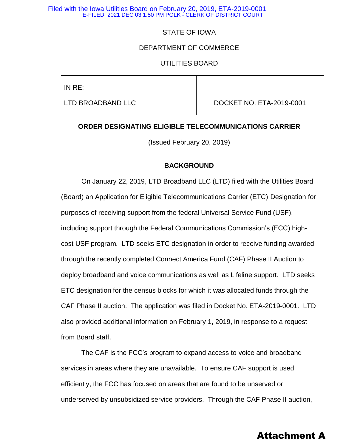# STATE OF IOWA

### DEPARTMENT OF COMMERCE

# UTILITIES BOARD

IN RE:

LTD BROADBAND LLC **DOCKET NO. ETA-2019-0001** 

### **ORDER DESIGNATING ELIGIBLE TELECOMMUNICATIONS CARRIER**

(Issued February 20, 2019)

### **BACKGROUND**

On January 22, 2019, LTD Broadband LLC (LTD) filed with the Utilities Board (Board) an Application for Eligible Telecommunications Carrier (ETC) Designation for purposes of receiving support from the federal Universal Service Fund (USF), including support through the Federal Communications Commission's (FCC) highcost USF program. LTD seeks ETC designation in order to receive funding awarded through the recently completed Connect America Fund (CAF) Phase II Auction to deploy broadband and voice communications as well as Lifeline support. LTD seeks ETC designation for the census blocks for which it was allocated funds through the CAF Phase II auction. The application was filed in Docket No. ETA-2019-0001. LTD also provided additional information on February 1, 2019, in response to a request from Board staff.

The CAF is the FCC's program to expand access to voice and broadband services in areas where they are unavailable. To ensure CAF support is used efficiently, the FCC has focused on areas that are found to be unserved or underserved by unsubsidized service providers. Through the CAF Phase II auction,

# Attachment A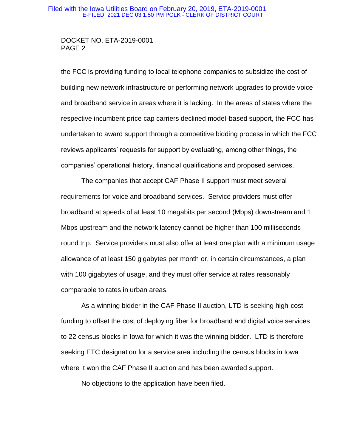## DOCKET NO. ETA-2019-0001 PAGE 2

the FCC is providing funding to local telephone companies to subsidize the cost of building new network infrastructure or performing network upgrades to provide voice and broadband service in areas where it is lacking. In the areas of states where the respective incumbent price cap carriers declined model-based support, the FCC has undertaken to award support through a competitive bidding process in which the FCC reviews applicants' requests for support by evaluating, among other things, the companies' operational history, financial qualifications and proposed services.

The companies that accept CAF Phase II support must meet several requirements for voice and broadband services. Service providers must offer broadband at speeds of at least 10 megabits per second (Mbps) downstream and 1 Mbps upstream and the network latency cannot be higher than 100 milliseconds round trip. Service providers must also offer at least one plan with a minimum usage allowance of at least 150 gigabytes per month or, in certain circumstances, a plan with 100 gigabytes of usage, and they must offer service at rates reasonably comparable to rates in urban areas.

As a winning bidder in the CAF Phase II auction, LTD is seeking high-cost funding to offset the cost of deploying fiber for broadband and digital voice services to 22 census blocks in Iowa for which it was the winning bidder. LTD is therefore seeking ETC designation for a service area including the census blocks in Iowa where it won the CAF Phase II auction and has been awarded support.

No objections to the application have been filed.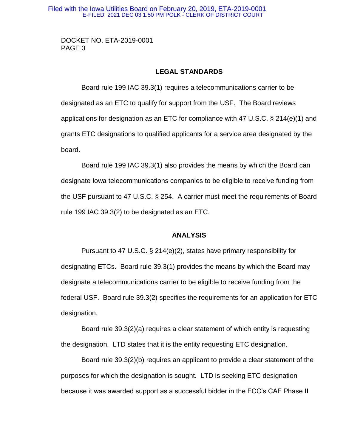DOCKET NO. ETA-2019-0001 PAGE 3

### **LEGAL STANDARDS**

Board rule 199 IAC 39.3(1) requires a telecommunications carrier to be designated as an ETC to qualify for support from the USF. The Board reviews applications for designation as an ETC for compliance with 47 U.S.C. § 214(e)(1) and grants ETC designations to qualified applicants for a service area designated by the board.

Board rule 199 IAC 39.3(1) also provides the means by which the Board can designate Iowa telecommunications companies to be eligible to receive funding from the USF pursuant to 47 U.S.C. § 254. A carrier must meet the requirements of Board rule 199 IAC 39.3(2) to be designated as an ETC.

### **ANALYSIS**

Pursuant to 47 U.S.C. § 214(e)(2), states have primary responsibility for designating ETCs. Board rule 39.3(1) provides the means by which the Board may designate a telecommunications carrier to be eligible to receive funding from the federal USF. Board rule 39.3(2) specifies the requirements for an application for ETC designation.

Board rule 39.3(2)(a) requires a clear statement of which entity is requesting the designation. LTD states that it is the entity requesting ETC designation.

Board rule 39.3(2)(b) requires an applicant to provide a clear statement of the purposes for which the designation is sought. LTD is seeking ETC designation because it was awarded support as a successful bidder in the FCC's CAF Phase II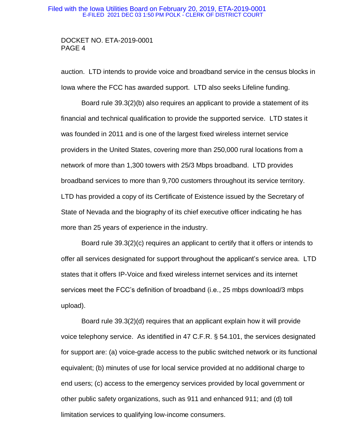### DOCKET NO. ETA-2019-0001 PAGE 4

auction. LTD intends to provide voice and broadband service in the census blocks in Iowa where the FCC has awarded support. LTD also seeks Lifeline funding.

Board rule 39.3(2)(b) also requires an applicant to provide a statement of its financial and technical qualification to provide the supported service. LTD states it was founded in 2011 and is one of the largest fixed wireless internet service providers in the United States, covering more than 250,000 rural locations from a network of more than 1,300 towers with 25/3 Mbps broadband. LTD provides broadband services to more than 9,700 customers throughout its service territory. LTD has provided a copy of its Certificate of Existence issued by the Secretary of State of Nevada and the biography of its chief executive officer indicating he has more than 25 years of experience in the industry.

Board rule 39.3(2)(c) requires an applicant to certify that it offers or intends to offer all services designated for support throughout the applicant's service area. LTD states that it offers IP-Voice and fixed wireless internet services and its internet services meet the FCC's definition of broadband (i.e., 25 mbps download/3 mbps upload).

Board rule 39.3(2)(d) requires that an applicant explain how it will provide voice telephony service. As identified in 47 C.F.R. § 54.101, the services designated for support are: (a) voice-grade access to the public switched network or its functional equivalent; (b) minutes of use for local service provided at no additional charge to end users; (c) access to the emergency services provided by local government or other public safety organizations, such as 911 and enhanced 911; and (d) toll limitation services to qualifying low-income consumers.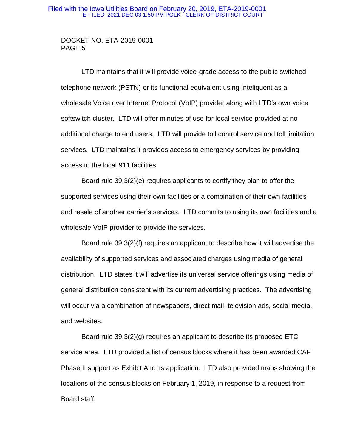## DOCKET NO. ETA-2019-0001 PAGE 5

LTD maintains that it will provide voice-grade access to the public switched telephone network (PSTN) or its functional equivalent using Inteliquent as a wholesale Voice over Internet Protocol (VoIP) provider along with LTD's own voice softswitch cluster. LTD will offer minutes of use for local service provided at no additional charge to end users. LTD will provide toll control service and toll limitation services. LTD maintains it provides access to emergency services by providing access to the local 911 facilities.

Board rule 39.3(2)(e) requires applicants to certify they plan to offer the supported services using their own facilities or a combination of their own facilities and resale of another carrier's services. LTD commits to using its own facilities and a wholesale VoIP provider to provide the services.

Board rule 39.3(2)(f) requires an applicant to describe how it will advertise the availability of supported services and associated charges using media of general distribution. LTD states it will advertise its universal service offerings using media of general distribution consistent with its current advertising practices. The advertising will occur via a combination of newspapers, direct mail, television ads, social media, and websites.

Board rule 39.3(2)(g) requires an applicant to describe its proposed ETC service area. LTD provided a list of census blocks where it has been awarded CAF Phase II support as Exhibit A to its application. LTD also provided maps showing the locations of the census blocks on February 1, 2019, in response to a request from Board staff.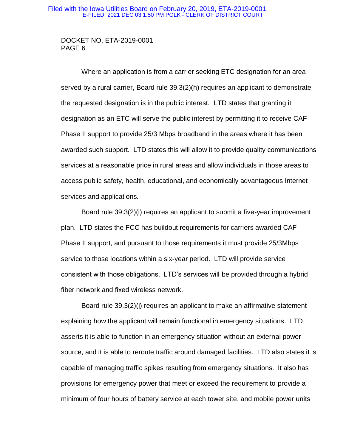## DOCKET NO. ETA-2019-0001 PAGE 6

Where an application is from a carrier seeking ETC designation for an area served by a rural carrier, Board rule 39.3(2)(h) requires an applicant to demonstrate the requested designation is in the public interest. LTD states that granting it designation as an ETC will serve the public interest by permitting it to receive CAF Phase II support to provide 25/3 Mbps broadband in the areas where it has been awarded such support. LTD states this will allow it to provide quality communications services at a reasonable price in rural areas and allow individuals in those areas to access public safety, health, educational, and economically advantageous Internet services and applications.

Board rule 39.3(2)(i) requires an applicant to submit a five-year improvement plan. LTD states the FCC has buildout requirements for carriers awarded CAF Phase II support, and pursuant to those requirements it must provide 25/3Mbps service to those locations within a six-year period. LTD will provide service consistent with those obligations. LTD's services will be provided through a hybrid fiber network and fixed wireless network.

Board rule 39.3(2)(j) requires an applicant to make an affirmative statement explaining how the applicant will remain functional in emergency situations. LTD asserts it is able to function in an emergency situation without an external power source, and it is able to reroute traffic around damaged facilities. LTD also states it is capable of managing traffic spikes resulting from emergency situations. It also has provisions for emergency power that meet or exceed the requirement to provide a minimum of four hours of battery service at each tower site, and mobile power units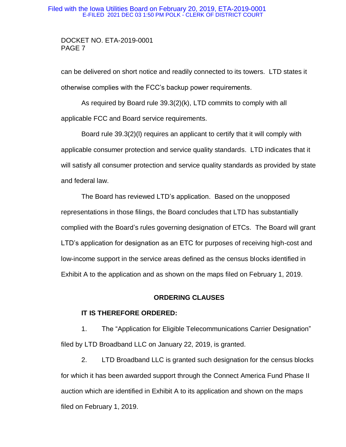# DOCKET NO. ETA-2019-0001 PAGE 7

can be delivered on short notice and readily connected to its towers. LTD states it otherwise complies with the FCC's backup power requirements.

As required by Board rule 39.3(2)(k), LTD commits to comply with all applicable FCC and Board service requirements.

Board rule 39.3(2)(l) requires an applicant to certify that it will comply with applicable consumer protection and service quality standards. LTD indicates that it will satisfy all consumer protection and service quality standards as provided by state and federal law.

The Board has reviewed LTD's application. Based on the unopposed representations in those filings, the Board concludes that LTD has substantially complied with the Board's rules governing designation of ETCs. The Board will grant LTD's application for designation as an ETC for purposes of receiving high-cost and low-income support in the service areas defined as the census blocks identified in Exhibit A to the application and as shown on the maps filed on February 1, 2019.

## **ORDERING CLAUSES**

## **IT IS THEREFORE ORDERED:**

1. The "Application for Eligible Telecommunications Carrier Designation" filed by LTD Broadband LLC on January 22, 2019, is granted.

2. LTD Broadband LLC is granted such designation for the census blocks for which it has been awarded support through the Connect America Fund Phase II auction which are identified in Exhibit A to its application and shown on the maps filed on February 1, 2019.